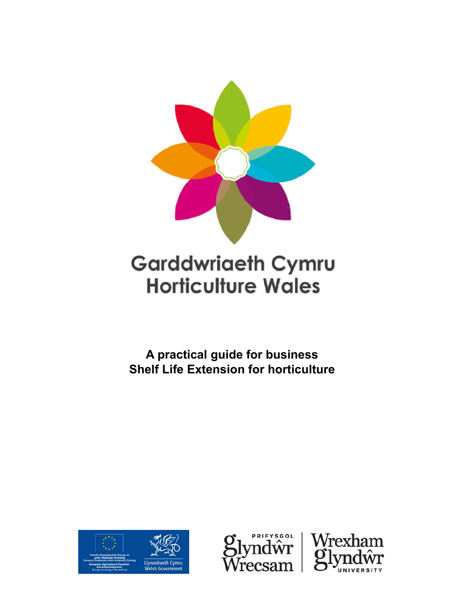

# **Garddwriaeth Cymru Horticulture Wales**

**A practical guide for business Shelf Life Extension for horticulture**





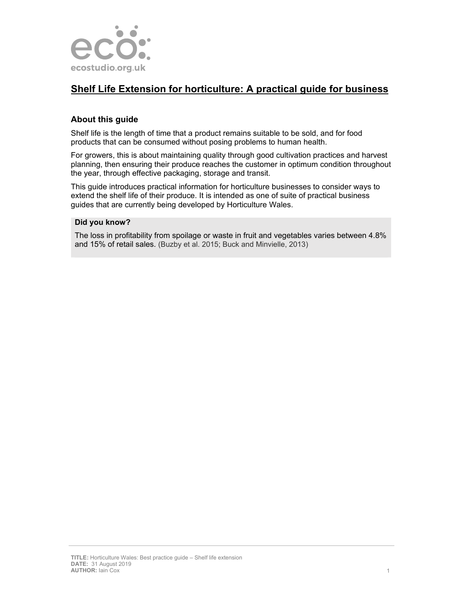

# **Shelf Life Extension for horticulture: A practical guide for business**

# **About this guide**

Shelf life is the length of time that a product remains suitable to be sold, and for food products that can be consumed without posing problems to human health.

For growers, this is about maintaining quality through good cultivation practices and harvest planning, then ensuring their produce reaches the customer in optimum condition throughout the year, through effective packaging, storage and transit.

This guide introduces practical information for horticulture businesses to consider ways to extend the shelf life of their produce. It is intended as one of suite of practical business guides that are currently being developed by Horticulture Wales.

#### **Did you know?**

The loss in profitability from spoilage or waste in fruit and vegetables varies between 4.8% and 15% of retail sales. (Buzby et al. 2015; Buck and Minvielle, 2013)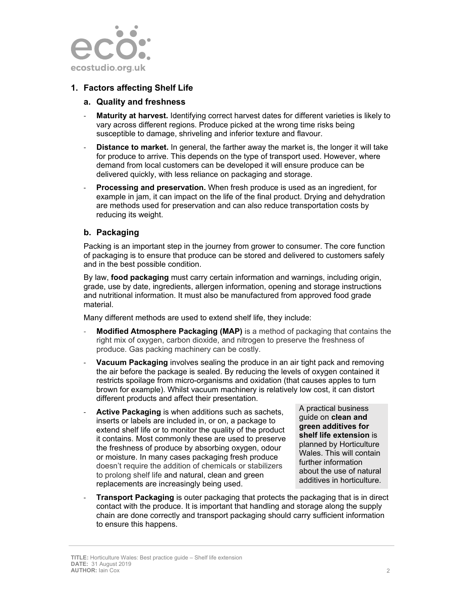

# **1. Factors affecting Shelf Life**

#### **a. Quality and freshness**

- **Maturity at harvest.** Identifying correct harvest dates for different varieties is likely to vary across different regions. Produce picked at the wrong time risks being susceptible to damage, shriveling and inferior texture and flavour.
- ‐ **Distance to market.** In general, the farther away the market is, the longer it will take for produce to arrive. This depends on the type of transport used. However, where demand from local customers can be developed it will ensure produce can be delivered quickly, with less reliance on packaging and storage.
- ‐ **Processing and preservation.** When fresh produce is used as an ingredient, for example in jam, it can impact on the life of the final product. Drying and dehydration are methods used for preservation and can also reduce transportation costs by reducing its weight.

#### **b. Packaging**

Packing is an important step in the journey from grower to consumer. The core function of packaging is to ensure that produce can be stored and delivered to customers safely and in the best possible condition.

By law, **food packaging** must carry certain information and warnings, including origin, grade, use by date, ingredients, allergen information, opening and storage instructions and nutritional information. It must also be manufactured from approved food grade material.

Many different methods are used to extend shelf life, they include:

- ‐ **Modified Atmosphere Packaging (MAP)** is a method of packaging that contains the right mix of oxygen, carbon dioxide, and nitrogen to preserve the freshness of produce. Gas packing machinery can be costly.
- ‐ **Vacuum Packaging** involves sealing the produce in an air tight pack and removing the air before the package is sealed. By reducing the levels of oxygen contained it restricts spoilage from micro-organisms and oxidation (that causes apples to turn brown for example). Whilst vacuum machinery is relatively low cost, it can distort different products and affect their presentation.
- ‐ **Active Packaging** is when additions such as sachets, inserts or labels are included in, or on, a package to extend shelf life or to monitor the quality of the product it contains. Most commonly these are used to preserve the freshness of produce by absorbing oxygen, odour or moisture. In many cases packaging fresh produce doesn't require the addition of chemicals or stabilizers to prolong shelf life and natural, clean and green replacements are increasingly being used.

A practical business guide on **clean and green additives for shelf life extension** is planned by Horticulture Wales. This will contain further information about the use of natural additives in horticulture.

**Transport Packaging** is outer packaging that protects the packaging that is in direct contact with the produce. It is important that handling and storage along the supply chain are done correctly and transport packaging should carry sufficient information to ensure this happens.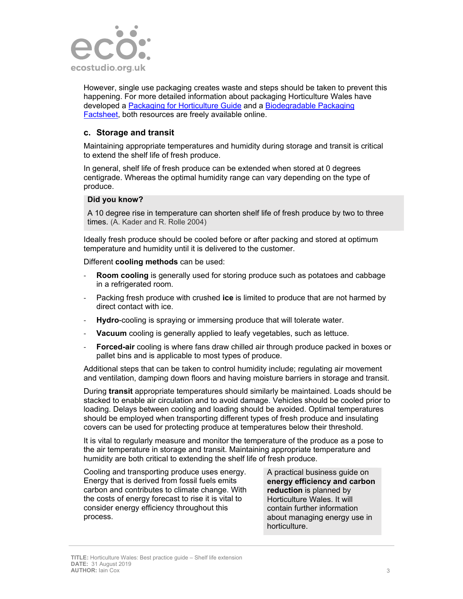

However, single use packaging creates waste and steps should be taken to prevent this happening. For more detailed information about packaging Horticulture Wales have developed a Packaging for Horticulture Guide and a Biodegradable Packaging Factsheet, both resources are freely available online.

#### **c. Storage and transit**

Maintaining appropriate temperatures and humidity during storage and transit is critical to extend the shelf life of fresh produce.

In general, shelf life of fresh produce can be extended when stored at 0 degrees centigrade. Whereas the optimal humidity range can vary depending on the type of produce.

#### **Did you know?**

A 10 degree rise in temperature can shorten shelf life of fresh produce by two to three times. (A. Kader and R. Rolle 2004)

Ideally fresh produce should be cooled before or after packing and stored at optimum temperature and humidity until it is delivered to the customer.

Different **cooling methods** can be used:

- ‐ **Room cooling** is generally used for storing produce such as potatoes and cabbage in a refrigerated room.
- ‐ Packing fresh produce with crushed **ice** is limited to produce that are not harmed by direct contact with ice.
- ‐ **Hydro**-cooling is spraying or immersing produce that will tolerate water.
- **Vacuum** cooling is generally applied to leafy vegetables, such as lettuce.
- ‐ **Forced-air** cooling is where fans draw chilled air through produce packed in boxes or pallet bins and is applicable to most types of produce.

Additional steps that can be taken to control humidity include; regulating air movement and ventilation, damping down floors and having moisture barriers in storage and transit.

During **transit** appropriate temperatures should similarly be maintained. Loads should be stacked to enable air circulation and to avoid damage. Vehicles should be cooled prior to loading. Delays between cooling and loading should be avoided. Optimal temperatures should be employed when transporting different types of fresh produce and insulating covers can be used for protecting produce at temperatures below their threshold.

It is vital to regularly measure and monitor the temperature of the produce as a pose to the air temperature in storage and transit. Maintaining appropriate temperature and humidity are both critical to extending the shelf life of fresh produce.

Cooling and transporting produce uses energy. Energy that is derived from fossil fuels emits carbon and contributes to climate change. With the costs of energy forecast to rise it is vital to consider energy efficiency throughout this process.

A practical business guide on **energy efficiency and carbon reduction** is planned by Horticulture Wales. It will contain further information about managing energy use in horticulture.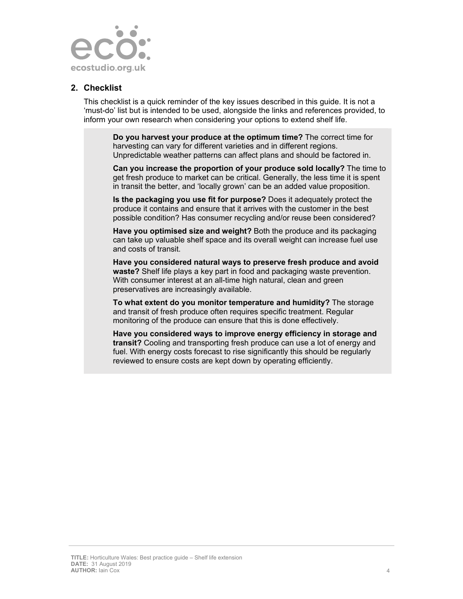

#### **2. Checklist**

This checklist is a quick reminder of the key issues described in this guide. It is not a 'must-do' list but is intended to be used, alongside the links and references provided, to inform your own research when considering your options to extend shelf life.

**Do you harvest your produce at the optimum time?** The correct time for harvesting can vary for different varieties and in different regions. Unpredictable weather patterns can affect plans and should be factored in.

**Can you increase the proportion of your produce sold locally?** The time to get fresh produce to market can be critical. Generally, the less time it is spent in transit the better, and 'locally grown' can be an added value proposition.

**Is the packaging you use fit for purpose?** Does it adequately protect the produce it contains and ensure that it arrives with the customer in the best possible condition? Has consumer recycling and/or reuse been considered?

**Have you optimised size and weight?** Both the produce and its packaging can take up valuable shelf space and its overall weight can increase fuel use and costs of transit.

**Have you considered natural ways to preserve fresh produce and avoid waste?** Shelf life plays a key part in food and packaging waste prevention. With consumer interest at an all-time high natural, clean and green preservatives are increasingly available.

**To what extent do you monitor temperature and humidity?** The storage and transit of fresh produce often requires specific treatment. Regular monitoring of the produce can ensure that this is done effectively.

**Have you considered ways to improve energy efficiency in storage and transit?** Cooling and transporting fresh produce can use a lot of energy and fuel. With energy costs forecast to rise significantly this should be regularly reviewed to ensure costs are kept down by operating efficiently.